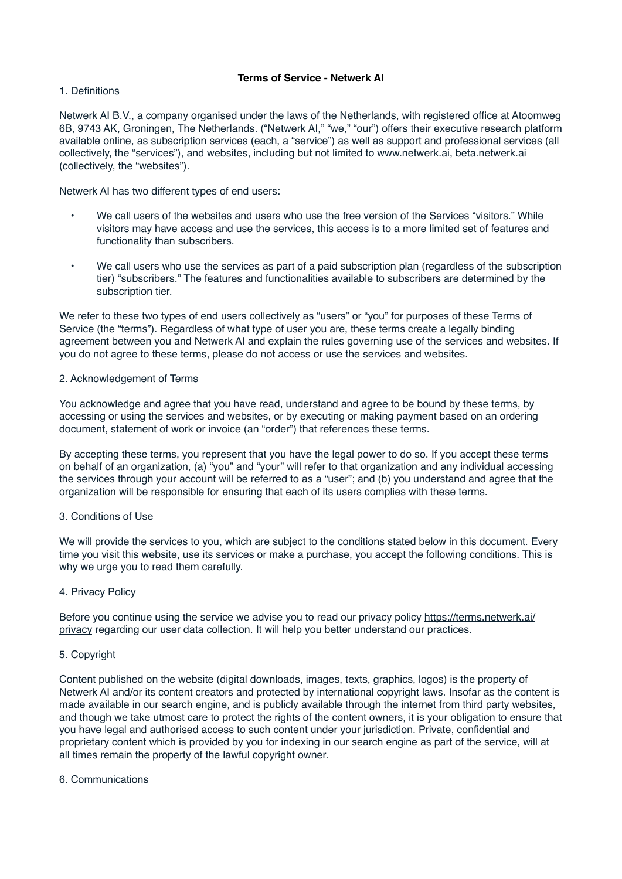# **Terms of Service - Netwerk AI**

## 1. Definitions

Netwerk AI B.V., a company organised under the laws of the Netherlands, with registered office at Atoomweg 6B, 9743 AK, Groningen, The Netherlands. ("Netwerk AI," "we," "our") offers their executive research platform available online, as subscription services (each, a "service") as well as support and professional services (all collectively, the "services"), and websites, including but not limited to www.netwerk.ai, beta.netwerk.ai (collectively, the "websites").

Netwerk AI has two different types of end users:

- We call users of the websites and users who use the free version of the Services "visitors." While visitors may have access and use the services, this access is to a more limited set of features and functionality than subscribers.
- We call users who use the services as part of a paid subscription plan (regardless of the subscription tier) "subscribers." The features and functionalities available to subscribers are determined by the subscription tier.

We refer to these two types of end users collectively as "users" or "you" for purposes of these Terms of Service (the "terms"). Regardless of what type of user you are, these terms create a legally binding agreement between you and Netwerk AI and explain the rules governing use of the services and websites. If you do not agree to these terms, please do not access or use the services and websites.

# 2. Acknowledgement of Terms

You acknowledge and agree that you have read, understand and agree to be bound by these terms, by accessing or using the services and websites, or by executing or making payment based on an ordering document, statement of work or invoice (an "order") that references these terms.

By accepting these terms, you represent that you have the legal power to do so. If you accept these terms on behalf of an organization, (a) "you" and "your" will refer to that organization and any individual accessing the services through your account will be referred to as a "user"; and (b) you understand and agree that the organization will be responsible for ensuring that each of its users complies with these terms.

# 3. Conditions of Use

We will provide the services to you, which are subject to the conditions stated below in this document. Every time you visit this website, use its services or make a purchase, you accept the following conditions. This is why we urge you to read them carefully.

### 4. Privacy Policy

Before you continue using the service we advise you to read our privacy policy [https://terms.netwerk.ai/](https://terms.netwerk.ai/privacy) [privacy](https://terms.netwerk.ai/privacy) regarding our user data collection. It will help you better understand our practices.

### 5. Copyright

Content published on the website (digital downloads, images, texts, graphics, logos) is the property of Netwerk AI and/or its content creators and protected by international copyright laws. Insofar as the content is made available in our search engine, and is publicly available through the internet from third party websites, and though we take utmost care to protect the rights of the content owners, it is your obligation to ensure that you have legal and authorised access to such content under your jurisdiction. Private, confidential and proprietary content which is provided by you for indexing in our search engine as part of the service, will at all times remain the property of the lawful copyright owner.

## 6. Communications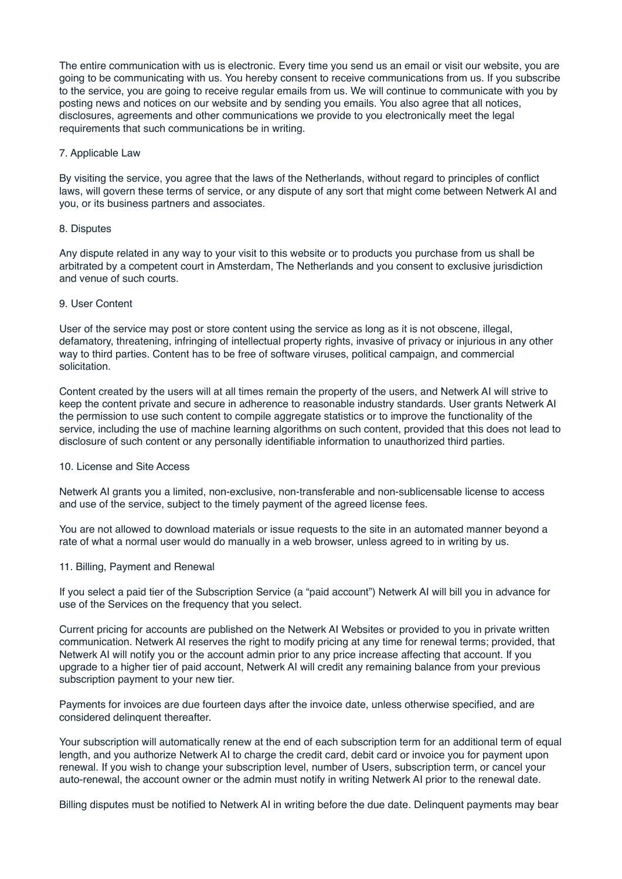The entire communication with us is electronic. Every time you send us an email or visit our website, you are going to be communicating with us. You hereby consent to receive communications from us. If you subscribe to the service, you are going to receive regular emails from us. We will continue to communicate with you by posting news and notices on our website and by sending you emails. You also agree that all notices, disclosures, agreements and other communications we provide to you electronically meet the legal requirements that such communications be in writing.

## 7. Applicable Law

By visiting the service, you agree that the laws of the Netherlands, without regard to principles of conflict laws, will govern these terms of service, or any dispute of any sort that might come between Netwerk AI and you, or its business partners and associates.

#### 8. Disputes

Any dispute related in any way to your visit to this website or to products you purchase from us shall be arbitrated by a competent court in Amsterdam, The Netherlands and you consent to exclusive jurisdiction and venue of such courts.

# 9. User Content

User of the service may post or store content using the service as long as it is not obscene, illegal, defamatory, threatening, infringing of intellectual property rights, invasive of privacy or injurious in any other way to third parties. Content has to be free of software viruses, political campaign, and commercial solicitation.

Content created by the users will at all times remain the property of the users, and Netwerk AI will strive to keep the content private and secure in adherence to reasonable industry standards. User grants Netwerk AI the permission to use such content to compile aggregate statistics or to improve the functionality of the service, including the use of machine learning algorithms on such content, provided that this does not lead to disclosure of such content or any personally identifiable information to unauthorized third parties.

#### 10. License and Site Access

Netwerk AI grants you a limited, non-exclusive, non-transferable and non-sublicensable license to access and use of the service, subject to the timely payment of the agreed license fees.

You are not allowed to download materials or issue requests to the site in an automated manner beyond a rate of what a normal user would do manually in a web browser, unless agreed to in writing by us.

#### 11. Billing, Payment and Renewal

If you select a paid tier of the Subscription Service (a "paid account") Netwerk AI will bill you in advance for use of the Services on the frequency that you select.

Current pricing for accounts are published on the Netwerk AI Websites or provided to you in private written communication. Netwerk AI reserves the right to modify pricing at any time for renewal terms; provided, that Netwerk AI will notify you or the account admin prior to any price increase affecting that account. If you upgrade to a higher tier of paid account, Netwerk AI will credit any remaining balance from your previous subscription payment to your new tier.

Payments for invoices are due fourteen days after the invoice date, unless otherwise specified, and are considered delinquent thereafter.

Your subscription will automatically renew at the end of each subscription term for an additional term of equal length, and you authorize Netwerk AI to charge the credit card, debit card or invoice you for payment upon renewal. If you wish to change your subscription level, number of Users, subscription term, or cancel your auto-renewal, the account owner or the admin must notify in writing Netwerk AI prior to the renewal date.

Billing disputes must be notified to Netwerk AI in writing before the due date. Delinquent payments may bear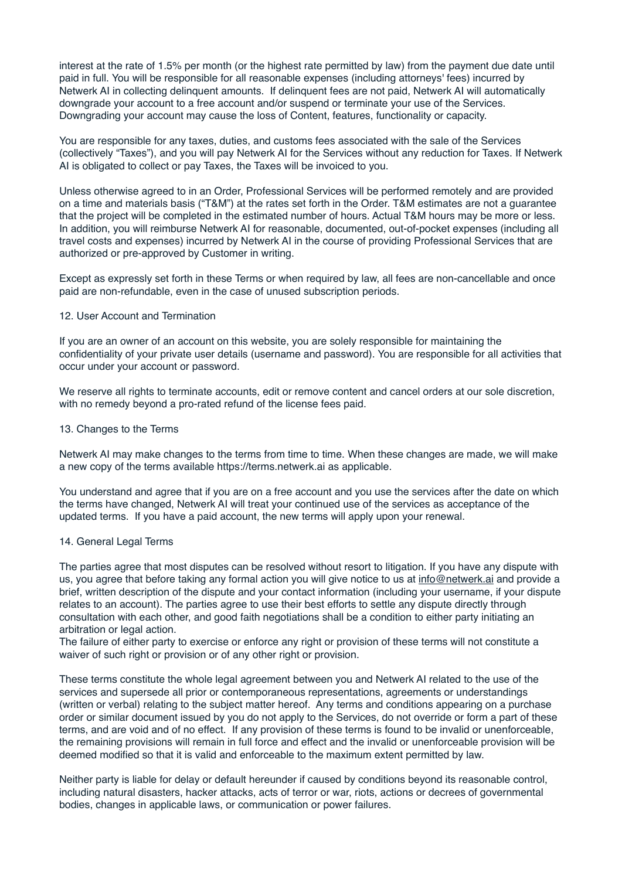interest at the rate of 1.5% per month (or the highest rate permitted by law) from the payment due date until paid in full. You will be responsible for all reasonable expenses (including attorneys' fees) incurred by Netwerk AI in collecting delinquent amounts. If delinquent fees are not paid, Netwerk AI will automatically downgrade your account to a free account and/or suspend or terminate your use of the Services. Downgrading your account may cause the loss of Content, features, functionality or capacity.

You are responsible for any taxes, duties, and customs fees associated with the sale of the Services (collectively "Taxes"), and you will pay Netwerk AI for the Services without any reduction for Taxes. If Netwerk AI is obligated to collect or pay Taxes, the Taxes will be invoiced to you.

Unless otherwise agreed to in an Order, Professional Services will be performed remotely and are provided on a time and materials basis ("T&M") at the rates set forth in the Order. T&M estimates are not a guarantee that the project will be completed in the estimated number of hours. Actual T&M hours may be more or less. In addition, you will reimburse Netwerk AI for reasonable, documented, out-of-pocket expenses (including all travel costs and expenses) incurred by Netwerk AI in the course of providing Professional Services that are authorized or pre-approved by Customer in writing.

Except as expressly set forth in these Terms or when required by law, all fees are non-cancellable and once paid are non-refundable, even in the case of unused subscription periods.

# 12. User Account and Termination

If you are an owner of an account on this website, you are solely responsible for maintaining the confidentiality of your private user details (username and password). You are responsible for all activities that occur under your account or password.

We reserve all rights to terminate accounts, edit or remove content and cancel orders at our sole discretion, with no remedy beyond a pro-rated refund of the license fees paid.

#### 13. Changes to the Terms

Netwerk AI may make changes to the terms from time to time. When these changes are made, we will make a new copy of the terms available https://terms.netwerk.ai as applicable.

You understand and agree that if you are on a free account and you use the services after the date on which the terms have changed, Netwerk AI will treat your continued use of the services as acceptance of the updated terms. If you have a paid account, the new terms will apply upon your renewal.

### 14. General Legal Terms

The parties agree that most disputes can be resolved without resort to litigation. If you have any dispute with us, you agree that before taking any formal action you will give notice to us at [info@netwerk.ai](mailto:info@netwerk.ai) and provide a brief, written description of the dispute and your contact information (including your username, if your dispute relates to an account). The parties agree to use their best efforts to settle any dispute directly through consultation with each other, and good faith negotiations shall be a condition to either party initiating an arbitration or legal action.

The failure of either party to exercise or enforce any right or provision of these terms will not constitute a waiver of such right or provision or of any other right or provision.

These terms constitute the whole legal agreement between you and Netwerk AI related to the use of the services and supersede all prior or contemporaneous representations, agreements or understandings (written or verbal) relating to the subject matter hereof. Any terms and conditions appearing on a purchase order or similar document issued by you do not apply to the Services, do not override or form a part of these terms, and are void and of no effect. If any provision of these terms is found to be invalid or unenforceable, the remaining provisions will remain in full force and effect and the invalid or unenforceable provision will be deemed modified so that it is valid and enforceable to the maximum extent permitted by law.

Neither party is liable for delay or default hereunder if caused by conditions beyond its reasonable control, including natural disasters, hacker attacks, acts of terror or war, riots, actions or decrees of governmental bodies, changes in applicable laws, or communication or power failures.